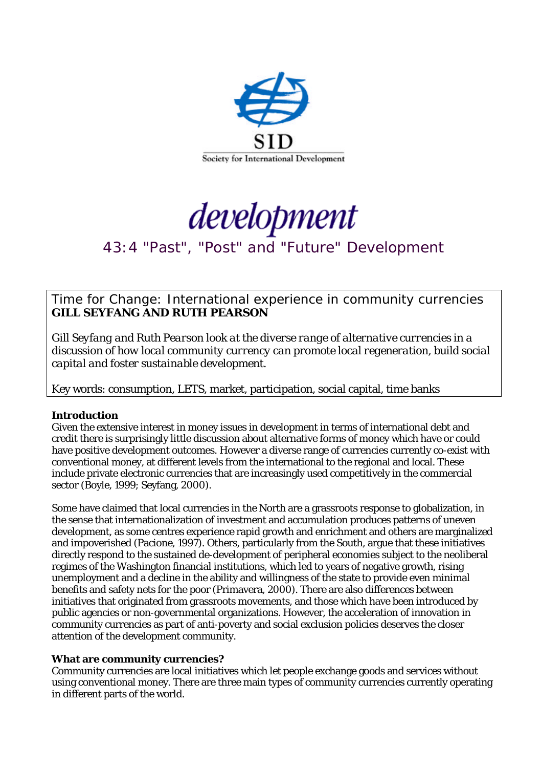



# 43:4 "Past", "Post" and "Future" Development

Time for Change: International experience in community currencies **GILL SEYFANG AND RUTH PEARSON** 

*Gill Seyfang and Ruth Pearson look at the diverse range of alternative currencies in a discussion of how local community currency can promote local regeneration, build social capital and foster sustainable development.* 

Key words: consumption, LETS, market, participation, social capital, time banks

## **Introduction**

Given the extensive interest in money issues in development in terms of international debt and credit there is surprisingly little discussion about alternative forms of money which have or could have positive development outcomes. However a diverse range of currencies currently co-exist with conventional money, at different levels from the international to the regional and local. These include private electronic currencies that are increasingly used competitively in the commercial sector (Boyle, 1999; Seyfang, 2000).

Some have claimed that local currencies in the North are a grassroots response to globalization, in the sense that internationalization of investment and accumulation produces patterns of uneven development, as some centres experience rapid growth and enrichment and others are marginalized and impoverished (Pacione, 1997). Others, particularly from the South, argue that these initiatives directly respond to the sustained de-development of peripheral economies subject to the neoliberal regimes of the Washington financial institutions, which led to years of negative growth, rising unemployment and a decline in the ability and willingness of the state to provide even minimal benefits and safety nets for the poor (Primavera, 2000). There are also differences between initiatives that originated from grassroots movements, and those which have been introduced by public agencies or non-governmental organizations. However, the acceleration of innovation in community currencies as part of anti-poverty and social exclusion policies deserves the closer attention of the development community.

## **What are community currencies?**

Community currencies are local initiatives which let people exchange goods and services without using conventional money. There are three main types of community currencies currently operating in different parts of the world.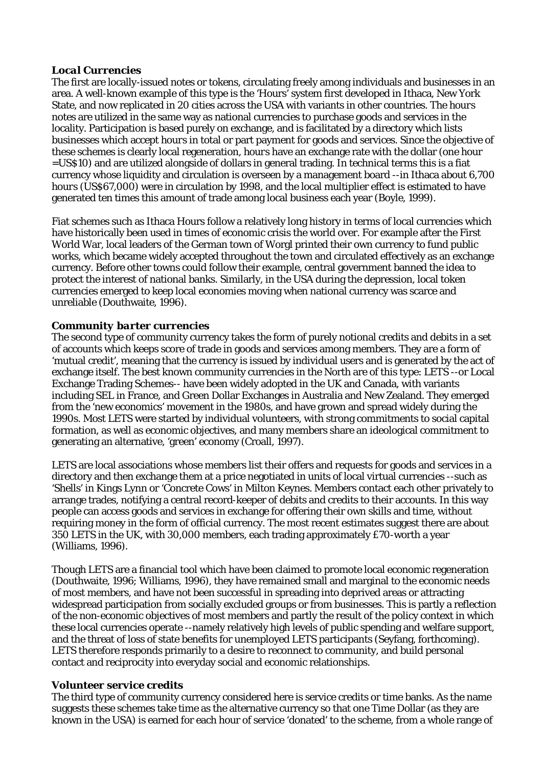## *Local Currencies*

The first are locally-issued notes or tokens, circulating freely among individuals and businesses in an area. A well-known example of this type is the 'Hours' system first developed in Ithaca, New York State, and now replicated in 20 cities across the USA with variants in other countries. The *hours* notes are utilized in the same way as national currencies to purchase goods and services in the locality. Participation is based purely on exchange, and is facilitated by a directory which lists businesses which accept *hours* in total or part payment for goods and services. Since the objective of these schemes is clearly local regeneration, *hours* have an exchange rate with the dollar (one *hour* =US\$10) and are utilized alongside of dollars in general trading. In technical terms this is a fiat currency whose liquidity and circulation is overseen by a management board --in Ithaca about 6,700 *hours* (US\$67,000) were in circulation by 1998, and the local multiplier effect is estimated to have generated ten times this amount of trade among local business each year (Boyle, 1999).

Fiat schemes such as Ithaca Hours follow a relatively long history in terms of local currencies which have historically been used in times of economic crisis the world over. For example after the First World War, local leaders of the German town of Worgl printed their own currency to fund public works, which became widely accepted throughout the town and circulated effectively as an exchange currency. Before other towns could follow their example, central government banned the idea to protect the interest of national banks. Similarly, in the USA during the depression, local token currencies emerged to keep local economies moving when national currency was scarce and unreliable (Douthwaite, 1996).

## *Community barter currencies*

The second type of community currency takes the form of purely notional credits and debits in a set of accounts which keeps score of trade in goods and services among members. They are a form of 'mutual credit', meaning that the currency is issued by individual users and is generated by the act of exchange itself. The best known community currencies in the North are of this type: LETS --or Local Exchange Trading Schemes-- have been widely adopted in the UK and Canada, with variants including SEL in France, and Green Dollar Exchanges in Australia and New Zealand. They emerged from the 'new economics' movement in the 1980s, and have grown and spread widely during the 1990s. Most LETS were started by individual volunteers, with strong commitments to social capital formation, as well as economic objectives, and many members share an ideological commitment to generating an alternative, 'green' economy (Croall, 1997).

LETS are local associations whose members list their offers and requests for goods and services in a directory and then exchange them at a price negotiated in units of local virtual currencies --such as 'Shells' in Kings Lynn or 'Concrete Cows' in Milton Keynes. Members contact each other privately to arrange trades, notifying a central record-keeper of debits and credits to their accounts. In this way people can access goods and services in exchange for offering their own skills and time, without requiring money in the form of official currency. The most recent estimates suggest there are about 350 LETS in the UK, with 30,000 members, each trading approximately £70-worth a year (Williams, 1996).

Though LETS are a financial tool which have been claimed to promote local economic regeneration (Douthwaite, 1996; Williams, 1996), they have remained small and marginal to the economic needs of most members, and have not been successful in spreading into deprived areas or attracting widespread participation from socially excluded groups or from businesses. This is partly a reflection of the non-economic objectives of most members and partly the result of the policy context in which these local currencies operate --namely relatively high levels of public spending and welfare support, and the threat of loss of state benefits for unemployed LETS participants (Seyfang, forthcoming). LETS therefore responds primarily to a desire to reconnect to community, and build personal contact and reciprocity into everyday social and economic relationships.

## *Volunteer service credits*

The third type of community currency considered here is service credits or time banks. As the name suggests these schemes take time as the alternative currency so that one Time Dollar (as they are known in the USA) is earned for each hour of service 'donated' to the scheme, from a whole range of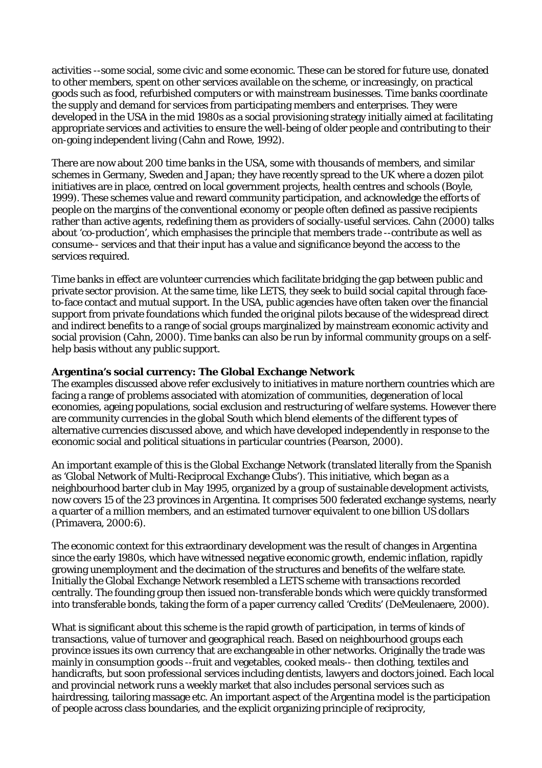activities --some social, some civic and some economic. These can be stored for future use, donated to other members, spent on other services available on the scheme, or increasingly, on practical goods such as food, refurbished computers or with mainstream businesses. Time banks coordinate the supply and demand for services from participating members and enterprises. They were developed in the USA in the mid 1980s as a social provisioning strategy initially aimed at facilitating appropriate services and activities to ensure the well-being of older people and contributing to their on-going independent living (Cahn and Rowe, 1992).

There are now about 200 time banks in the USA, some with thousands of members, and similar schemes in Germany, Sweden and Japan; they have recently spread to the UK where a dozen pilot initiatives are in place, centred on local government projects, health centres and schools (Boyle, 1999). These schemes value and reward community participation, and acknowledge the efforts of people on the margins of the conventional economy or people often defined as passive recipients rather than active agents, redefining them as providers of socially-useful services. Cahn (2000) talks about 'co-production', which emphasises the principle that members *trade* --contribute as well as consume-- services and that their input has a value and significance beyond the access to the services required.

Time banks in effect are volunteer currencies which facilitate bridging the gap between public and private sector provision. At the same time, like LETS, they seek to build social capital through faceto-face contact and mutual support. In the USA, public agencies have often taken over the financial support from private foundations which funded the original pilots because of the widespread direct and indirect benefits to a range of social groups marginalized by mainstream economic activity and social provision (Cahn, 2000). Time banks can also be run by informal community groups on a selfhelp basis without any public support.

## **Argentina's social currency: The Global Exchange Network**

The examples discussed above refer exclusively to initiatives in mature northern countries which are facing a range of problems associated with atomization of communities, degeneration of local economies, ageing populations, social exclusion and restructuring of welfare systems. However there are community currencies in the global South which blend elements of the different types of alternative currencies discussed above, and which have developed independently in response to the economic social and political situations in particular countries (Pearson, 2000).

An important example of this is the Global Exchange Network (translated literally from the Spanish as 'Global Network of Multi-Reciprocal Exchange Clubs'). This initiative, which began as a neighbourhood barter club in May 1995, organized by a group of sustainable development activists, now covers 15 of the 23 provinces in Argentina. It comprises 500 federated exchange systems, nearly a quarter of a million members, and an estimated turnover equivalent to one billion US dollars (Primavera, 2000:6).

The economic context for this extraordinary development was the result of changes in Argentina since the early 1980s, which have witnessed negative economic growth, endemic inflation, rapidly growing unemployment and the decimation of the structures and benefits of the welfare state. Initially the Global Exchange Network resembled a LETS scheme with transactions recorded centrally. The founding group then issued non-transferable bonds which were quickly transformed into transferable bonds, taking the form of a paper currency called 'Credits' (DeMeulenaere, 2000).

What is significant about this scheme is the rapid growth of participation, in terms of kinds of transactions, value of turnover and geographical reach. Based on neighbourhood groups each province issues its own currency that are exchangeable in other networks. Originally the trade was mainly in consumption goods --fruit and vegetables, cooked meals-- then clothing, textiles and handicrafts, but soon professional services including dentists, lawyers and doctors joined. Each local and provincial network runs a weekly market that also includes personal services such as hairdressing, tailoring massage etc. An important aspect of the Argentina model is the participation of people across class boundaries, and the explicit organizing principle of reciprocity,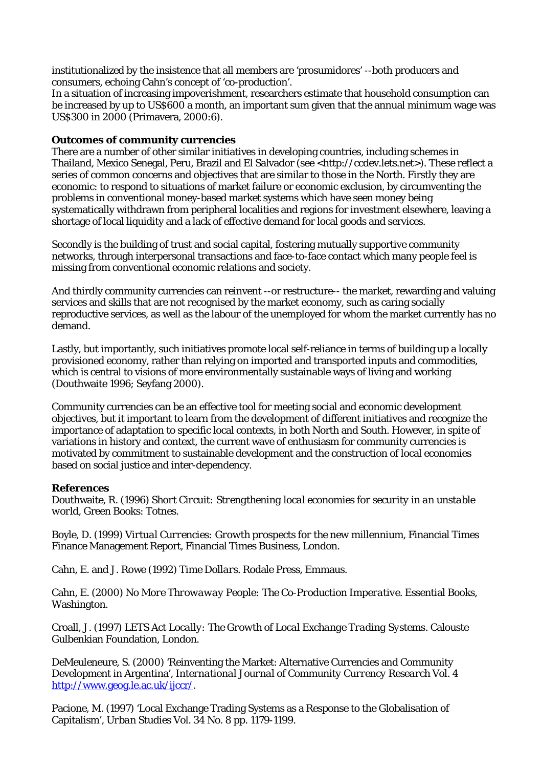institutionalized by the insistence that all members are 'prosumidores' --both producers and consumers, echoing Cahn's concept of 'co-production'.

In a situation of increasing impoverishment, researchers estimate that household consumption can be increased by up to US\$600 a month, an important sum given that the annual minimum wage was US\$300 in 2000 (Primavera, 2000:6).

## **Outcomes of community currencies**

There are a number of other similar initiatives in developing countries, including schemes in Thailand, Mexico Senegal, Peru, Brazil and El Salvador (see <http://ccdev.lets.net>). These reflect a series of common concerns and objectives that are similar to those in the North. Firstly they are economic: to respond to situations of market failure or economic exclusion, by circumventing the problems in conventional money-based market systems which have seen money being systematically withdrawn from peripheral localities and regions for investment elsewhere, leaving a shortage of local liquidity and a lack of effective demand for local goods and services.

Secondly is the building of trust and social capital, fostering mutually supportive community networks, through interpersonal transactions and face-to-face contact which many people feel is missing from conventional economic relations and society.

And thirdly community currencies can reinvent --or restructure-- the market, rewarding and valuing services and skills that are not recognised by the market economy, such as caring socially reproductive services, as well as the labour of the unemployed for whom the market currently has no demand.

Lastly, but importantly, such initiatives promote local self-reliance in terms of building up a locally provisioned economy, rather than relying on imported and transported inputs and commodities, which is central to visions of more environmentally sustainable ways of living and working (Douthwaite 1996; Seyfang 2000).

Community currencies can be an effective tool for meeting social and economic development objectives, but it important to learn from the development of different initiatives and recognize the importance of adaptation to specific local contexts, in both North and South. However, in spite of variations in history and context, the current wave of enthusiasm for community currencies is motivated by commitment to sustainable development and the construction of local economies based on social justice and inter-dependency.

## **References**

Douthwaite, R. (1996) *Short Circuit: Strengthening local economies for security in an unstable world,* Green Books: Totnes.

Boyle, D. (1999) *Virtual Currencies: Growth prospects for the new millennium*, Financial Times Finance Management Report, Financial Times Business, London.

Cahn, E. and J. Rowe (1992) *Time Dollars*. Rodale Press, Emmaus.

Cahn, E. (2000) *No More Throwaway People: The Co-Production Imperative*. Essential Books, Washington.

Croall, J. (1997) *LETS Act Locally: The Growth of Local Exchange Trading Systems*. Calouste Gulbenkian Foundation, London.

DeMeuleneure, S. (2000) 'Reinventing the Market: Alternative Currencies and Community Development in Argentina', *International Journal of Community Currency Research* Vol. 4 http://www.geog.le.ac.uk/ijccr/.

Pacione, M. (1997) 'Local Exchange Trading Systems as a Response to the Globalisation of Capitalism', *Urban Studies* Vol. 34 No. 8 pp. 1179-1199.